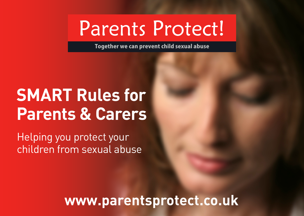# **Parents Protect!**

Together we can prevent child sexual abuse

## **SMART Rules for Parents & Carers**

Helping you protect your children from sexual abuse

**www.parentsprotect.co.uk**